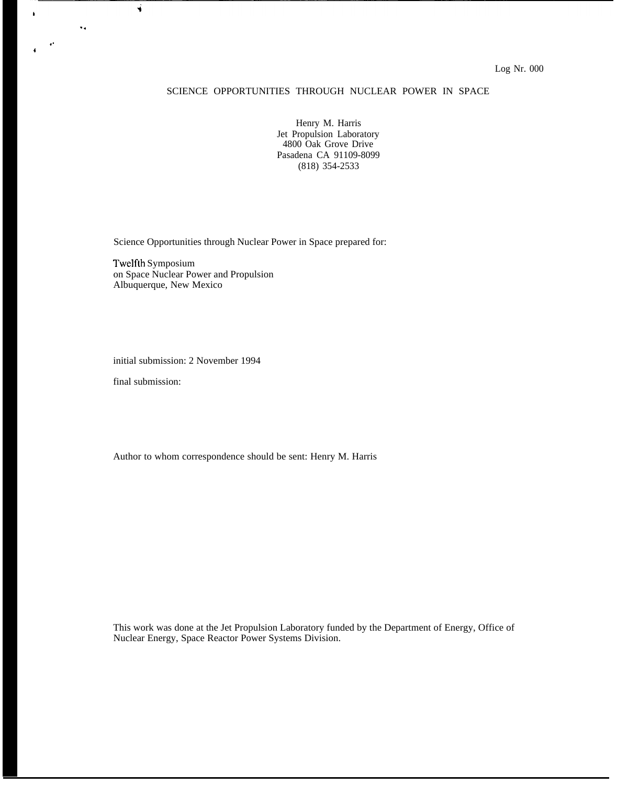### SCIENCE OPPORTUNITIES THROUGH NUCLEAR POWER IN SPACE

Henry M. Harris Jet Propulsion Laboratory 4800 Oak Grove Drive Pasadena CA 91109-8099 (818) 354-2533

Science Opportunities through Nuclear Power in Space prepared for:

Twelfth Symposium on Space Nuclear Power and Propulsion Albuquerque, New Mexico

initial submission: 2 November 1994

final submission:

 $\ddot{\phantom{a}}$  .

Ń

,. 4

 $\bullet$ 

Author to whom correspondence should be sent: Henry M. Harris

This work was done at the Jet Propulsion Laboratory funded by the Department of Energy, Office of Nuclear Energy, Space Reactor Power Systems Division.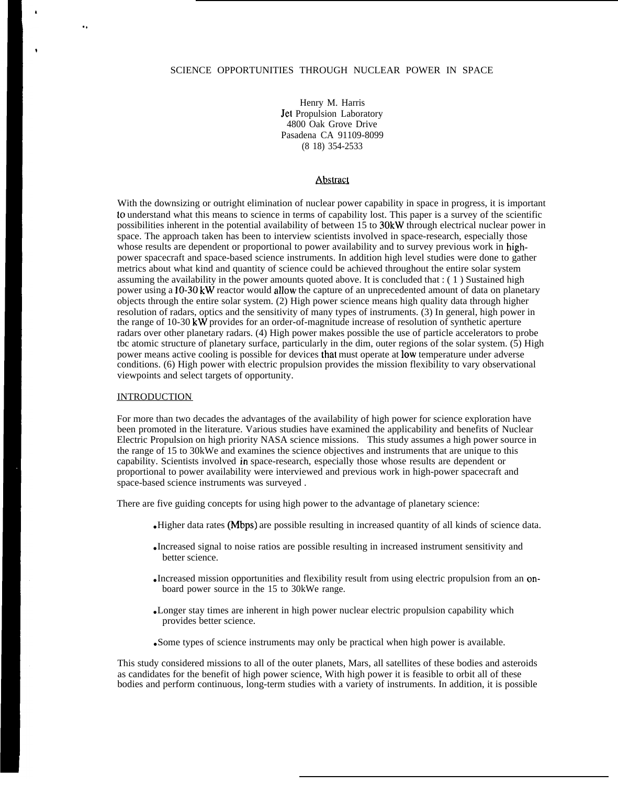#### SCIENCE OPPORTUNITIES THROUGH NUCLEAR POWER IN SPACE

Henry M. Harris Jet Propulsion Laboratory 4800 Oak Grove Drive Pasadena CA 91109-8099 (8 18) 354-2533

#### Abstract

With the downsizing or outright elimination of nuclear power capability in space in progress, it is important to understand what this means to science in terms of capability lost. This paper is a survey of the scientific possibilities inherent in the potential availability of between 15 to 30kW through electrical nuclear power in space. The approach taken has been to interview scientists involved in space-research, especially those whose results are dependent or proportional to power availability and to survey previous work in highpower spacecraft and space-based science instruments. In addition high level studies were done to gather metrics about what kind and quantity of science could be achieved throughout the entire solar system assuming the availability in the power amounts quoted above. It is concluded that : ( 1 ) Sustained high power using a  $10-30$  kW reactor would allow the capture of an unprecedented amount of data on planetary objects through the entire solar system. (2) High power science means high quality data through higher resolution of radars, optics and the sensitivity of many types of instruments. (3) In general, high power in the range of 10-30 kW provides for an order-of-magnitude increase of resolution of synthetic aperture radars over other planetary radars. (4) High power makes possible the use of particle accelerators to probe tbc atomic structure of planetary surface, particularly in the dim, outer regions of the solar system.  $(\hat{5})$  High power means active cooling is possible for devices that must operate at low temperature under adverse conditions. (6) High power with electric propulsion provides the mission flexibility to vary observational viewpoints and select targets of opportunity.

#### **INTRODUCTION**

.,

For more than two decades the advantages of the availability of high power for science exploration have been promoted in the literature. Various studies have examined the applicability and benefits of Nuclear Electric Propulsion on high priority NASA science missions. This study assumes a high power source in the range of 15 to 30kWe and examines the science objectives and instruments that are unique to this capability. Scientists involved in space-research, especially those whose results are dependent or proportional to power availability were interviewed and previous work in high-power spacecraft and space-based science instruments was surveyed .

There are five guiding concepts for using high power to the advantage of planetary science:

- Higher data rates (Mbps) are possible resulting in increased quantity of all kinds of science data.
- Increased signal to noise ratios are possible resulting in increased instrument sensitivity and better science.
- Increased mission opportunities and flexibility result from using electric propulsion from an onboard power source in the 15 to 30kWe range.
- Longer stay times are inherent in high power nuclear electric propulsion capability which provides better science.
- Some types of science instruments may only be practical when high power is available.

This study considered missions to all of the outer planets, Mars, all satellites of these bodies and asteroids as candidates for the benefit of high power science, With high power it is feasible to orbit all of these bodies and perform continuous, long-term studies with a variety of instruments. In addition, it is possible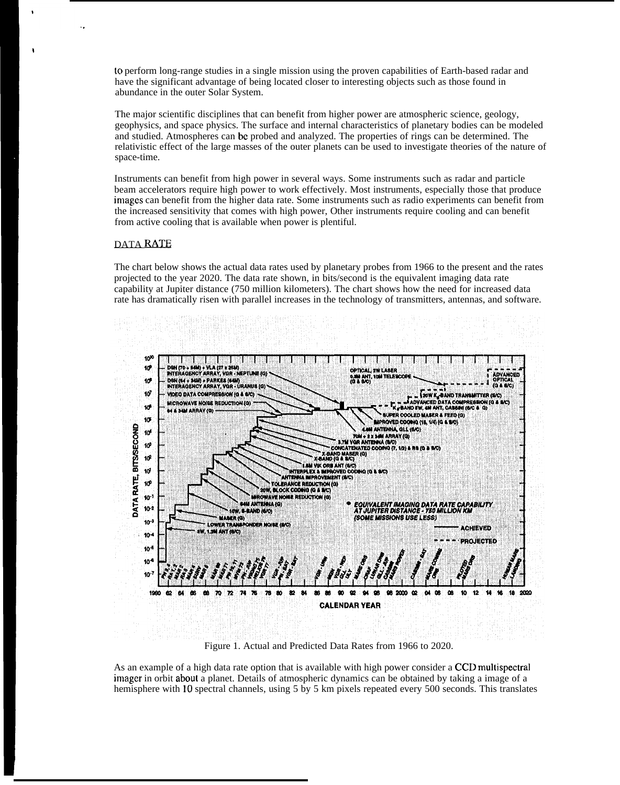to perform long-range studies in a single mission using the proven capabilities of Earth-based radar and have the significant advantage of being located closer to interesting objects such as those found in abundance in the outer Solar System.

The major scientific disciplines that can benefit from higher power are atmospheric science, geology, geophysics, and space physics. The surface and internal characteristics of planetary bodies can be modeled and studied. Atmospheres can be probed and analyzed. The properties of rings can be determined. The relativistic effect of the large masses of the outer planets can be used to investigate theories of the nature of space-time.

Instruments can benefit from high power in several ways. Some instruments such as radar and particle beam accelerators require high power to work effectively. Most instruments, especially those that produce images can benefit from the higher data rate. Some instruments such as radio experiments can benefit from the increased sensitivity that comes with high power, Other instruments require cooling and can benefit from active cooling that is available when power is plentiful.

### DATA RATE

The chart below shows the actual data rates used by planetary probes from 1966 to the present and the rates projected to the year 2020. The data rate shown, in bits/second is the equivalent imaging data rate capability at Jupiter distance (750 million kilometers). The chart shows how the need for increased data rate has dramatically risen with parallel increases in the technology of transmitters, antennas, and software.



Figure 1. Actual and Predicted Data Rates from 1966 to 2020.

As an example of a high data rate option that is available with high power consider a CCD multispectral imager in orbit aboul a planet. Details of atmospheric dynamics can be obtained by taking a image of a hemisphere with 10 spectral channels, using 5 by 5 km pixels repeated every 500 seconds. This translates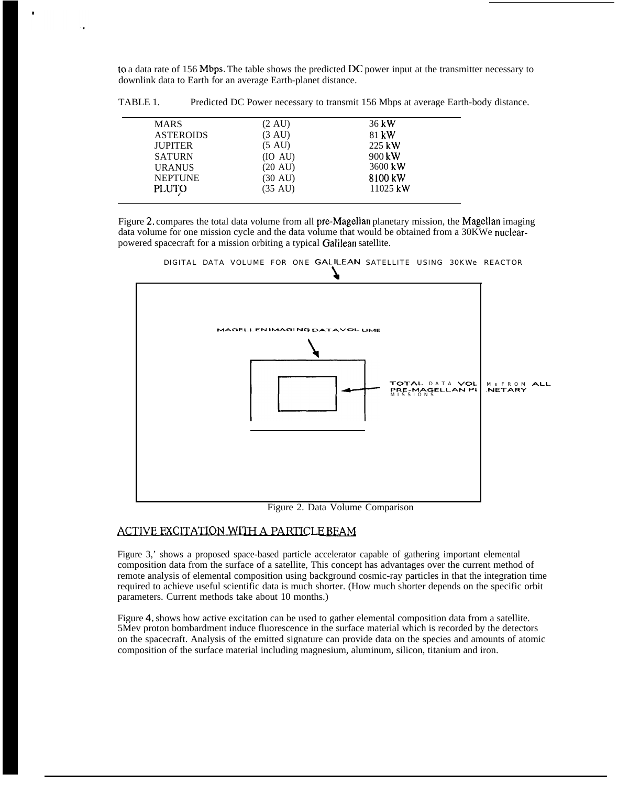to a data rate of 156 Mbps. The table shows the predicted DC power input at the transmitter necessary to downlink data to Earth for an average Earth-planet distance.

| <b>MARS</b>      | $(2 \text{ AU})$ | $36$ kW          |
|------------------|------------------|------------------|
| <b>ASTEROIDS</b> | (3 AU)           | 81 kW            |
| <b>JUPITER</b>   | (5 AU)           | 225 kW           |
| <b>SATURN</b>    | (IO AU)          | $900 \text{ kW}$ |
| <b>URANUS</b>    | (20 AU)          | 3600 kW          |
| <b>NEPTUNE</b>   | (30 AU)          | 8100 kW          |
| <b>PLUTO</b>     | (35 AU)          | $11025$ kW       |

TABLE 1. Predicted DC Power necessary to transmit 156 Mbps at average Earth-body distance.

Figure 2, compares the total data volume from all pre-Magellan planetary mission, the Magellan imaging data volume for one mission cycle and the data volume that would be obtained from a 30KWe nuclearpowered spacecraft for a mission orbiting a typical Galilean satellite.





Figure 2. Data Volume Comparison

# ACTIVE EXCITATION WITH A PARTICLE BEAM

Figure 3,' shows a proposed space-based particle accelerator capable of gathering important elemental composition data from the surface of a satellite, This concept has advantages over the current method of remote analysis of elemental composition using background cosmic-ray particles in that the integration time required to achieve useful scientific data is much shorter. (How much shorter depends on the specific orbit parameters. Current methods take about 10 months.)

Figure 4, shows how active excitation can be used to gather elemental composition data from a satellite. 5Mev proton bombardment induce fluorescence in the surface material which is recorded by the detectors on the spacecraft. Analysis of the emitted signature can provide data on the species and amounts of atomic composition of the surface material including magnesium, aluminum, silicon, titanium and iron.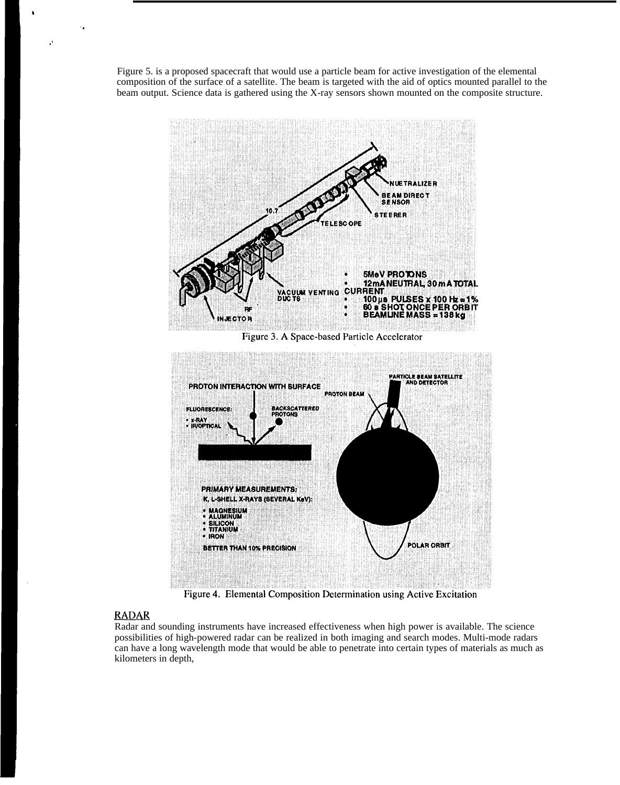Figure 5. is a proposed spacecraft that would use a particle beam for active investigation of the elemental composition of the surface of a satellite. The beam is targeted with the aid of optics mounted parallel to the beam output. Science data is gathered using the X-ray sensors shown mounted on the composite structure.



Figure 3. A Space-based Particle Accelerator



Figure 4. Elemental Composition Determination using Active Excitation

# RADAR

,,

.,

Radar and sounding instruments have increased effectiveness when high power is available. The science possibilities of high-powered radar can be realized in both imaging and search modes. Multi-mode radars can have a long wavelength mode that would be able to penetrate into certain types of materials as much as kilometers in depth,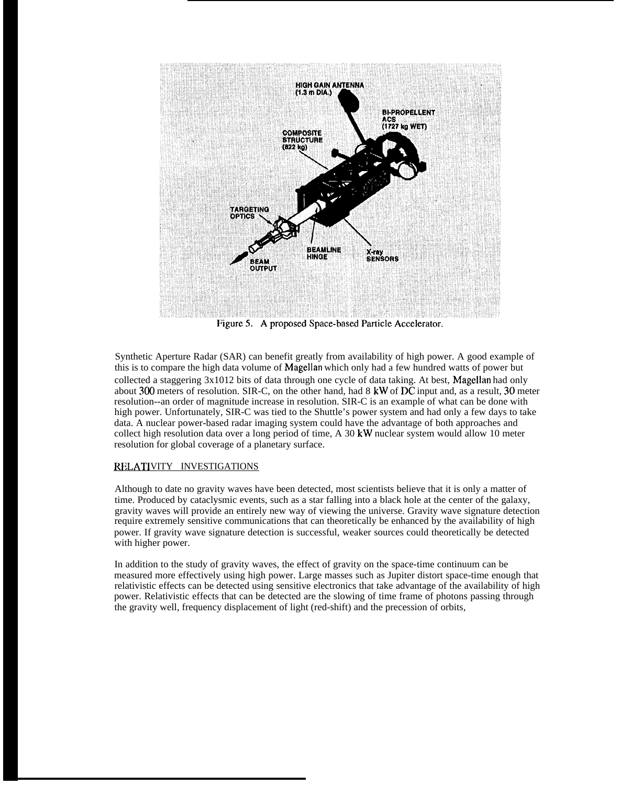

Synthetic Aperture Radar (SAR) can benefit greatly from availability of high power. A good example of this is to compare the high data volume of Magellan which only had a few hundred watts of power but collected a staggering 3x1012 bits of data through one cycle of data taking. At best, Magellan had only about 300 meters of resolution. SIR-C, on the other hand, had 8 kW of DC input and, as a result, 30 meter resolution--an order of magnitude increase in resolution. SIR-C is an example of what can be done with high power. Unfortunately, SIR-C was tied to the Shuttle's power system and had only a few days to take data. A nuclear power-based radar imaging system could have the advantage of both approaches and collect high resolution data over a long period of time, A 30 kW nuclear system would allow 10 meter resolution for global coverage of a planetary surface.

### RELATIVITY INVESTIGATIONS

Although to date no gravity waves have been detected, most scientists believe that it is only a matter of time. Produced by cataclysmic events, such as a star falling into a black hole at the center of the galaxy, gravity waves will provide an entirely new way of viewing the universe. Gravity wave signature detection require extremely sensitive communications that can theoretically be enhanced by the availability of high power. If gravity wave signature detection is successful, weaker sources could theoretically be detected with higher power.

In addition to the study of gravity waves, the effect of gravity on the space-time continuum can be measured more effectively using high power. Large masses such as Jupiter distort space-time enough that relativistic effects can be detected using sensitive electronics that take advantage of the availability of high power. Relativistic effects that can be detected are the slowing of time frame of photons passing through the gravity well, frequency displacement of light (red-shift) and the precession of orbits,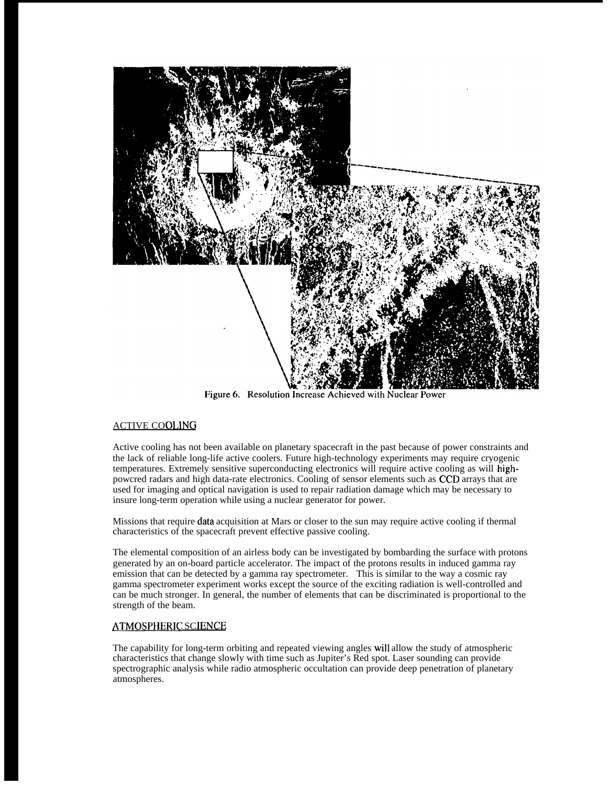

Figure 6. Resolution Increase Achieved with Nuclear Power

## ACTIVE COOLING

Active cooling has not been available on planetary spacecraft in the past because of power constraints and the lack of reliable long-life active coolers. Future high-technology experiments may require cryogenic temperatures. Extremely sensitive superconducting electronics will require active cooling as will highpowcred radars and high data-rate electronics. Cooling of sensor elements such as CCD arrays that are used for imaging and optical navigation is used to repair radiation damage which may be necessary to insure long-term operation while using a nuclear generator for power.

Missions that require data acquisition at Mars or closer to the sun may require active cooling if thermal characteristics of the spacecraft prevent effective passive cooling.

The elemental composition of an airless body can be investigated by bombarding the surface with protons generated by an on-board particle accelerator. The impact of the protons results in induced gamma ray emission that can be detected by a gamma ray spectrometer. This is similar to the way a cosmic ray gamma spectrometer experiment works except the source of the exciting radiation is well-controlled and can be much stronger. In general, the number of elements that can be discriminated is proportional to the strength of the beam.

### ATMOSPHERIC SCIENCE

The capability for long-term orbiting and repeated viewing angles will allow the study of atmospheric characteristics that change slowly with time such as Jupiter's Red spot. Laser sounding can provide spectrographic analysis while radio atmospheric occultation can provide deep penetration of planetary atmospheres.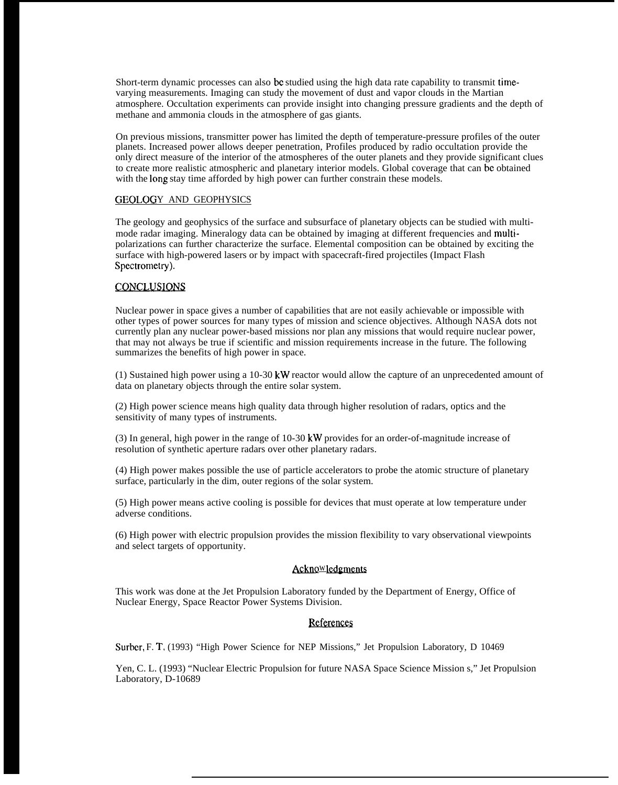Short-term dynamic processes can also bc studied using the high data rate capability to transmit timevarying measurements. Imaging can study the movement of dust and vapor clouds in the Martian atmosphere. Occultation experiments can provide insight into changing pressure gradients and the depth of methane and ammonia clouds in the atmosphere of gas giants.

On previous missions, transmitter power has limited the depth of temperature-pressure profiles of the outer planets. Increased power allows deeper penetration, Profiles produced by radio occultation provide the only direct measure of the interior of the atmospheres of the outer planets and they provide significant clues to create more realistic atmospheric and planetary interior models. Global coverage that can bc obtained with the long stay time afforded by high power can further constrain these models.

### GEOLOGY AND GEOPHYSICS

The geology and geophysics of the surface and subsurface of planetary objects can be studied with multimode radar imaging. Mineralogy data can be obtained by imaging at different frequencies and multipolarizations can further characterize the surface. Elemental composition can be obtained by exciting the surface with high-powered lasers or by impact with spacecraft-fired projectiles (Impact Flash Spectrometry).

### CONCLUSIONS

Nuclear power in space gives a number of capabilities that are not easily achievable or impossible with other types of power sources for many types of mission and science objectives. Although NASA dots not currently plan any nuclear power-based missions nor plan any missions that would require nuclear power, that may not always be true if scientific and mission requirements increase in the future. The following summarizes the benefits of high power in space.

(1) Sustained high power using a 10-30 kW reactor would allow the capture of an unprecedented amount of data on planetary objects through the entire solar system.

(2) High power science means high quality data through higher resolution of radars, optics and the sensitivity of many types of instruments.

(3) In general, high power in the range of 10-30 kW provides for an order-of-magnitude increase of resolution of synthetic aperture radars over other planetary radars.

(4) High power makes possible the use of particle accelerators to probe the atomic structure of planetary surface, particularly in the dim, outer regions of the solar system.

(5) High power means active cooling is possible for devices that must operate at low temperature under adverse conditions.

(6) High power with electric propulsion provides the mission flexibility to vary observational viewpoints and select targets of opportunity.

## Acknowledgments

This work was done at the Jet Propulsion Laboratory funded by the Department of Energy, Office of Nuclear Energy, Space Reactor Power Systems Division.

### References

Surber, F. T. (1993) "High Power Science for NEP Missions," Jet Propulsion Laboratory, D 10469

Yen, C. L. (1993) "Nuclear Electric Propulsion for future NASA Space Science Mission s," Jet Propulsion Laboratory, D-10689